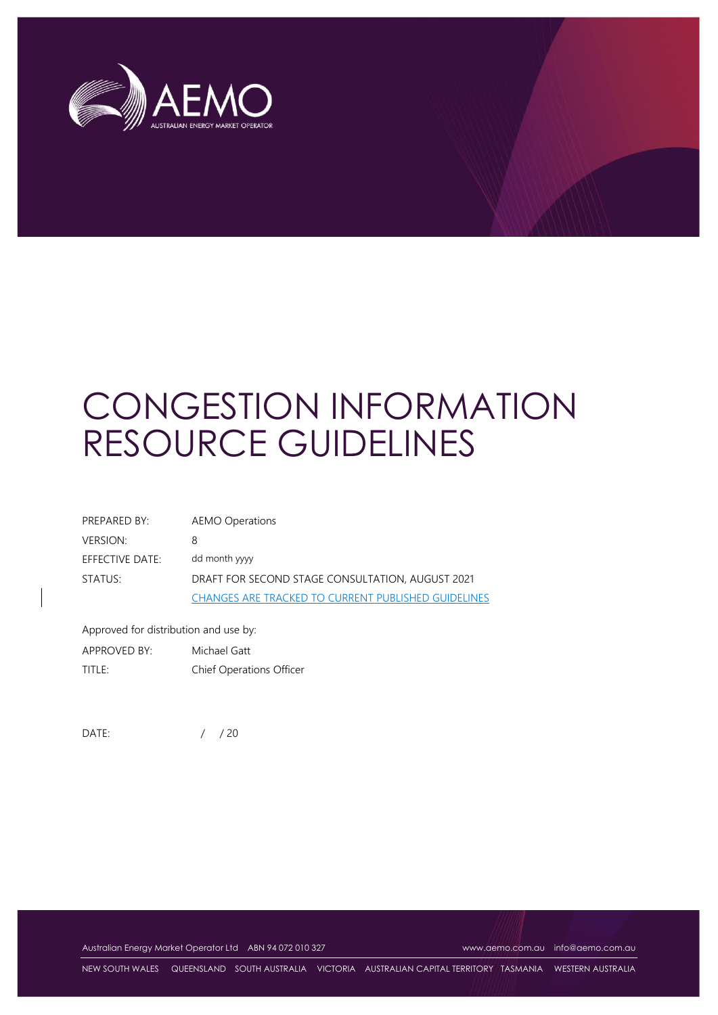

# CONGESTION INFORMATION RESOURCE GUIDELINES

| PREPARED BY:    | AEMO Operations                                            |
|-----------------|------------------------------------------------------------|
| VERSION:        | 8                                                          |
| EFFECTIVE DATE: | dd month yyyy                                              |
| STATUS:         | DRAFT FOR SECOND STAGE CONSULTATION, AUGUST 2021           |
|                 | <b>CHANGES ARE TRACKED TO CURRENT PUBLISHED GUIDELINES</b> |

Approved for distribution and use by:

APPROVED BY: Michael Gatt TITLE: Chief Operations Officer

DATE: / / 20

Australian Energy Market Operator Ltd ABN 94 072 010 327 [www.aemo.com.au](http://www.aemo.com.au/) [info@aemo.com.au](mailto:info@aemo.com.au)

NEW SOUTH WALES QUEENSLAND SOUTH AUSTRALIA VICTORIA AUSTRALIAN CAPITAL TERRITORY TASMANIA WESTERN AUSTRALIA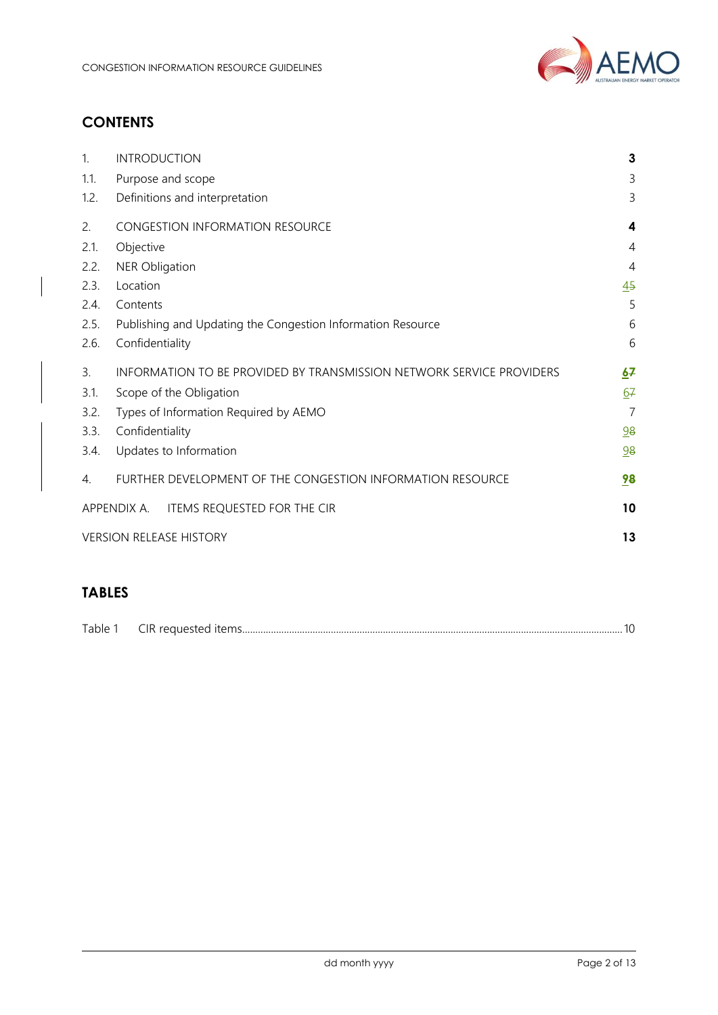

# **CONTENTS**

| 1.   | <b>INTRODUCTION</b>                                                  | 3              |
|------|----------------------------------------------------------------------|----------------|
| 1.1. | Purpose and scope                                                    | 3              |
| 1.2. | Definitions and interpretation                                       | 3              |
| 2.   | <b>CONGESTION INFORMATION RESOURCE</b>                               | 4              |
| 2.1. | Objective                                                            | $\overline{4}$ |
| 2.2. | <b>NER Obligation</b>                                                | $\overline{4}$ |
| 2.3. | Location                                                             | 45             |
| 2.4. | Contents                                                             | 5              |
| 2.5. | Publishing and Updating the Congestion Information Resource          | 6              |
| 2.6. | Confidentiality                                                      | 6              |
|      |                                                                      |                |
| 3.   | INFORMATION TO BE PROVIDED BY TRANSMISSION NETWORK SERVICE PROVIDERS | 67             |
| 3.1. | Scope of the Obligation                                              | 67             |
| 3.2. | Types of Information Required by AEMO                                | $\overline{7}$ |
| 3.3. | Confidentiality                                                      | 98             |
| 3.4. | Updates to Information                                               | 98             |
| 4.   | FURTHER DEVELOPMENT OF THE CONGESTION INFORMATION RESOURCE           | 98             |
|      | ITEMS REQUESTED FOR THE CIR<br>APPENDIX A.                           | 10             |
|      | <b>VERSION RELEASE HISTORY</b>                                       | 13             |

# **TABLES**

| $T - 1 - 1$<br>ranie | $\sim$ $\sim$<br>ıь |  |
|----------------------|---------------------|--|
|                      |                     |  |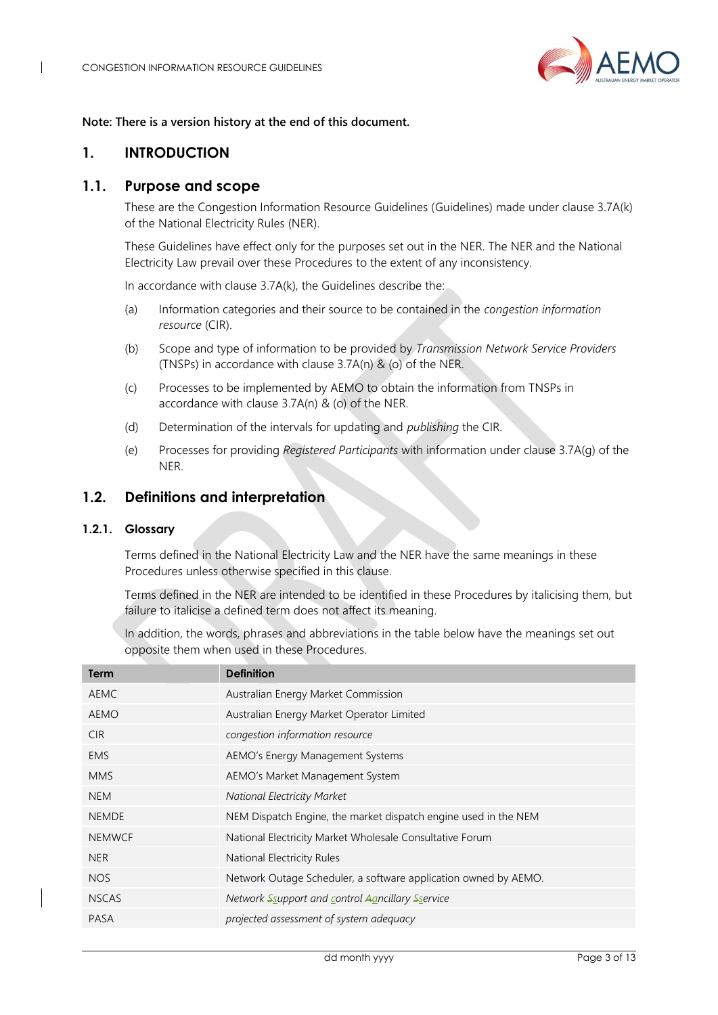

#### **Note: There is a version history at the end of this document.**

## <span id="page-2-0"></span>**1. INTRODUCTION**

## <span id="page-2-1"></span>**1.1. Purpose and scope**

These are the Congestion Information Resource Guidelines (Guidelines) made under clause 3.7A(k) of the National Electricity Rules (NER).

These Guidelines have effect only for the purposes set out in the NER. The NER and the National Electricity Law prevail over these Procedures to the extent of any inconsistency.

In accordance with clause 3.7A(k), the Guidelines describe the:

- (a) Information categories and their source to be contained in the *congestion information resource* (CIR).
- (b) Scope and type of information to be provided by *Transmission Network Service Providers* (TNSPs) in accordance with clause 3.7A(n) & (o) of the NER.
- (c) Processes to be implemented by AEMO to obtain the information from TNSPs in accordance with clause 3.7A(n) & (o) of the NER.
- (d) Determination of the intervals for updating and *publishing* the CIR.
- (e) Processes for providing *Registered Participants* with information under clause 3.7A(g) of the NER.

## <span id="page-2-2"></span>**1.2. Definitions and interpretation**

#### **1.2.1. Glossary**

Terms defined in the National Electricity Law and the NER have the same meanings in these Procedures unless otherwise specified in this clause.

Terms defined in the NER are intended to be identified in these Procedures by italicising them, but failure to italicise a defined term does not affect its meaning.

In addition, the words, phrases and abbreviations in the table below have the meanings set out opposite them when used in these Procedures.

| Term          | <b>Definition</b>                                               |
|---------------|-----------------------------------------------------------------|
| <b>AEMC</b>   | Australian Energy Market Commission                             |
| <b>AEMO</b>   | Australian Energy Market Operator Limited                       |
| CIR.          | congestion information resource                                 |
| <b>EMS</b>    | AEMO's Energy Management Systems                                |
| <b>MMS</b>    | AEMO's Market Management System                                 |
| <b>NEM</b>    | <b>National Electricity Market</b>                              |
| <b>NEMDE</b>  | NEM Dispatch Engine, the market dispatch engine used in the NEM |
| <b>NEMWCF</b> | National Electricity Market Wholesale Consultative Forum        |
| <b>NER</b>    | National Electricity Rules                                      |
| <b>NOS</b>    | Network Outage Scheduler, a software application owned by AEMO. |
| <b>NSCAS</b>  | Network Ssupport and control Agncillary Sservice                |
| PASA          | projected assessment of system adequacy                         |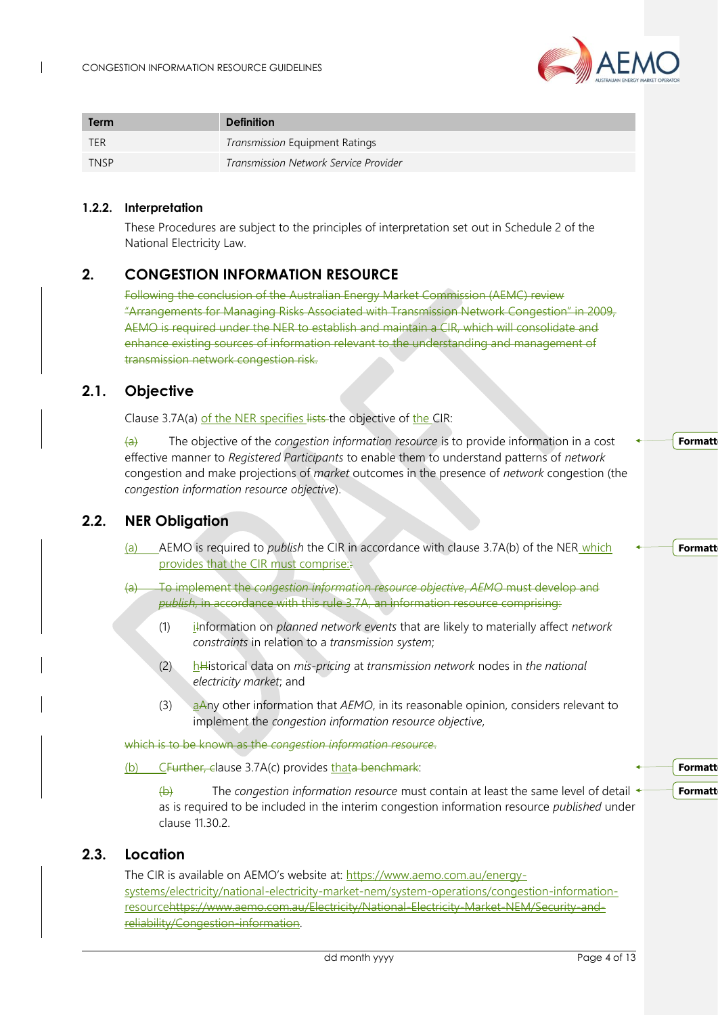

<span id="page-3-2"></span><span id="page-3-1"></span><span id="page-3-0"></span>

| <b>Term</b> |                                             | <b>Definition</b>                                                                                                                                                                                                                                                                                                                                                                                                 |
|-------------|---------------------------------------------|-------------------------------------------------------------------------------------------------------------------------------------------------------------------------------------------------------------------------------------------------------------------------------------------------------------------------------------------------------------------------------------------------------------------|
| <b>TER</b>  |                                             | Transmission Equipment Ratings                                                                                                                                                                                                                                                                                                                                                                                    |
| <b>TNSP</b> |                                             | Transmission Network Service Provider                                                                                                                                                                                                                                                                                                                                                                             |
| 1.2.2.      | Interpretation<br>National Electricity Law. | These Procedures are subject to the principles of interpretation set out in Schedule 2 of the                                                                                                                                                                                                                                                                                                                     |
| 2.          |                                             | <b>CONGESTION INFORMATION RESOURCE</b>                                                                                                                                                                                                                                                                                                                                                                            |
|             |                                             | Following the conclusion of the Australian Energy Market Commission (AEMC) review<br>"Arrangements for Managing Risks Associated with Transmission Network Congestion" in 2009,<br>AEMO is required under the NER to establish and maintain a CIR, which will consolidate and<br>enhance existing sources of information relevant to the understanding and management of<br>transmission network congestion risk. |
| 2.1.        | Objective                                   |                                                                                                                                                                                                                                                                                                                                                                                                                   |
|             |                                             | Clause 3.7A(a) of the NER specifies lists the objective of the CIR:                                                                                                                                                                                                                                                                                                                                               |
|             | $\left(\mathrm{a}\right)$                   | The objective of the congestion information resource is to provide information in a cost<br>effective manner to Registered Participants to enable them to understand patterns of network<br>congestion and make projections of market outcomes in the presence of network congestion (the<br>congestion information resource objective).                                                                          |
| 2.2.        | <b>NER Obligation</b>                       |                                                                                                                                                                                                                                                                                                                                                                                                                   |
|             | (a)                                         | _AEMO is required to <i>publish</i> the CIR in accordance with clause 3.7A(b) of the NER_which<br>provides that the CIR must comprise.                                                                                                                                                                                                                                                                            |
|             |                                             | To implement the congestion information resource objective, AEMO must develop and<br>publish, in accordance with this rule 3.7A, an information resource comprising:                                                                                                                                                                                                                                              |
|             | (1)                                         | information on planned network events that are likely to materially affect network<br>constraints in relation to a transmission system;                                                                                                                                                                                                                                                                           |
|             | (2)                                         | $h$ Historical data on mis-pricing at transmission network nodes in the national<br>electricity market; and                                                                                                                                                                                                                                                                                                       |
|             | (3)                                         | aAny other information that AEMO, in its reasonable opinion, considers relevant to<br>implement the congestion information resource objective,                                                                                                                                                                                                                                                                    |
|             |                                             | which is to be known as the congestion information resource.                                                                                                                                                                                                                                                                                                                                                      |
|             | (b)                                         | CFurther, clause 3.7A(c) provides thata benchmark:                                                                                                                                                                                                                                                                                                                                                                |
|             | $\leftrightarrow$<br>clause 11.30.2.        | The congestion information resource must contain at least the same level of detail $\triangleleft$<br>as is required to be included in the interim congestion information resource published under                                                                                                                                                                                                                |
| 2.3.        | Location                                    |                                                                                                                                                                                                                                                                                                                                                                                                                   |
|             |                                             | The CIR is available on AEMO's website at: https://www.aemo.com.au/energy-<br>systems/electricity/national-electricity-market-nem/system-operations/congestion-information-<br>resourcehttps://www.aemo.com.au/Electricity/National-Electricity-Market-NEM/Security-and-                                                                                                                                          |

<span id="page-3-3"></span>reliability/Congestion-information.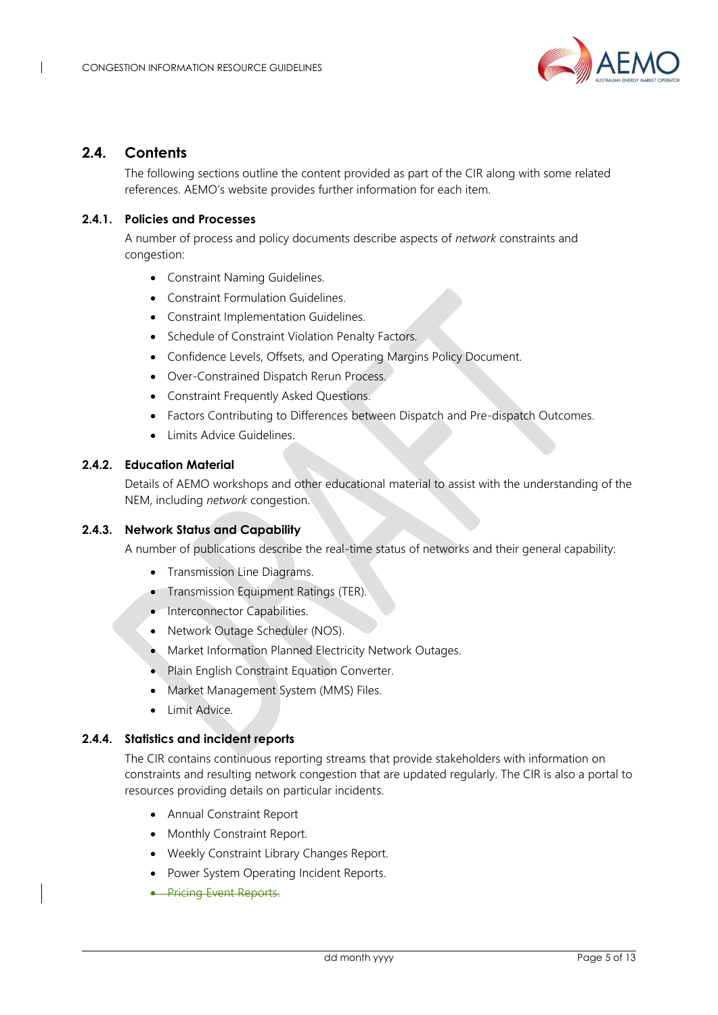

## <span id="page-4-0"></span>**2.4. Contents**

The following sections outline the content provided as part of the CIR along with some related references. AEMO's website provides further information for each item.

#### **2.4.1. Policies and Processes**

A number of process and policy documents describe aspects of *network* constraints and congestion:

- Constraint Naming Guidelines.
- Constraint Formulation Guidelines.
- Constraint Implementation Guidelines.
- Schedule of Constraint Violation Penalty Factors.
- Confidence Levels, Offsets, and Operating Margins Policy Document.
- Over-Constrained Dispatch Rerun Process.
- Constraint Frequently Asked Questions.
- Factors Contributing to Differences between Dispatch and Pre-dispatch Outcomes.
- Limits Advice Guidelines.

#### **2.4.2. Education Material**

Details of AEMO workshops and other educational material to assist with the understanding of the NEM, including *network* congestion.

#### **2.4.3. Network Status and Capability**

A number of publications describe the real-time status of networks and their general capability:

- Transmission Line Diagrams.
- Transmission Equipment Ratings (TER).
- Interconnector Capabilities.
- Network Outage Scheduler (NOS).
- Market Information Planned Electricity Network Outages.
- Plain English Constraint Equation Converter.
- Market Management System (MMS) Files.
- Limit Advice.

#### **2.4.4. Statistics and incident reports**

The CIR contains continuous reporting streams that provide stakeholders with information on constraints and resulting network congestion that are updated regularly. The CIR is also a portal to resources providing details on particular incidents.

- Annual Constraint Report
- Monthly Constraint Report.
- Weekly Constraint Library Changes Report.
- Power System Operating Incident Reports.
- **Pricing Event Reports.**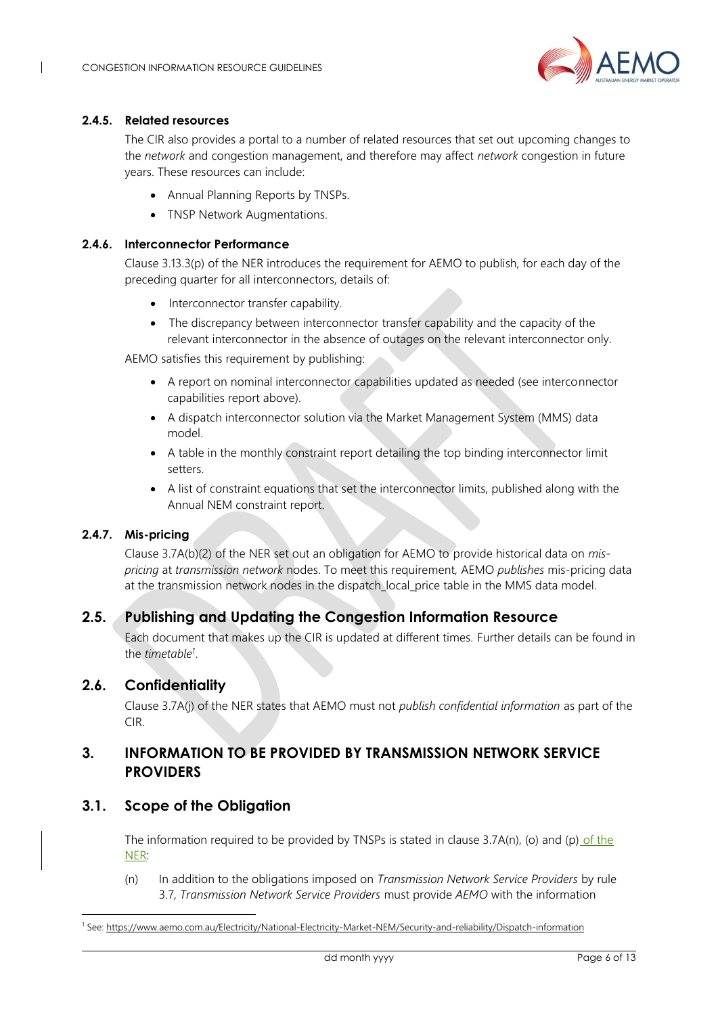

### **2.4.5. Related resources**

The CIR also provides a portal to a number of related resources that set out upcoming changes to the *network* and congestion management, and therefore may affect *network* congestion in future years. These resources can include:

- Annual Planning Reports by TNSPs.
- TNSP Network Augmentations.

#### **2.4.6. Interconnector Performance**

Clause 3.13.3(p) of the NER introduces the requirement for AEMO to publish, for each day of the preceding quarter for all interconnectors, details of:

- Interconnector transfer capability.
- The discrepancy between interconnector transfer capability and the capacity of the relevant interconnector in the absence of outages on the relevant interconnector only.

AEMO satisfies this requirement by publishing:

- A report on nominal interconnector capabilities updated as needed (see interconnector capabilities report above).
- A dispatch interconnector solution via the Market Management System (MMS) data model.
- A table in the monthly constraint report detailing the top binding interconnector limit setters.
- A list of constraint equations that set the interconnector limits, published along with the Annual NEM constraint report.

## **2.4.7. Mis-pricing**

Clause 3.7A(b)(2) of the NER set out an obligation for AEMO to provide historical data on *mispricing* at *transmission network* nodes. To meet this requirement, AEMO *publishes* mis-pricing data at the transmission network nodes in the dispatch\_local\_price table in the MMS data model.

## <span id="page-5-0"></span>**2.5. Publishing and Updating the Congestion Information Resource**

Each document that makes up the CIR is updated at different times. Further details can be found in the *timetable<sup>1</sup>* .

## <span id="page-5-1"></span>**2.6. Confidentiality**

Clause 3.7A(j) of the NER states that AEMO must not *publish confidential information* as part of the CIR.

## <span id="page-5-2"></span>**3. INFORMATION TO BE PROVIDED BY TRANSMISSION NETWORK SERVICE PROVIDERS**

## <span id="page-5-3"></span>**3.1. Scope of the Obligation**

The information required to be provided by TNSPs is stated in clause 3.7A(n), (o) and (p) of the NER:

(n) In addition to the obligations imposed on *Transmission Network Service Providers* by rule 3.7, *Transmission Network Service Providers* must provide *AEMO* with the information

<sup>1</sup> See[: https://www.aemo.com.au/Electricity/National-Electricity-Market-NEM/Security-and-reliability/Dispatch-information](https://www.aemo.com.au/Electricity/National-Electricity-Market-NEM/Security-and-reliability/Dispatch-information)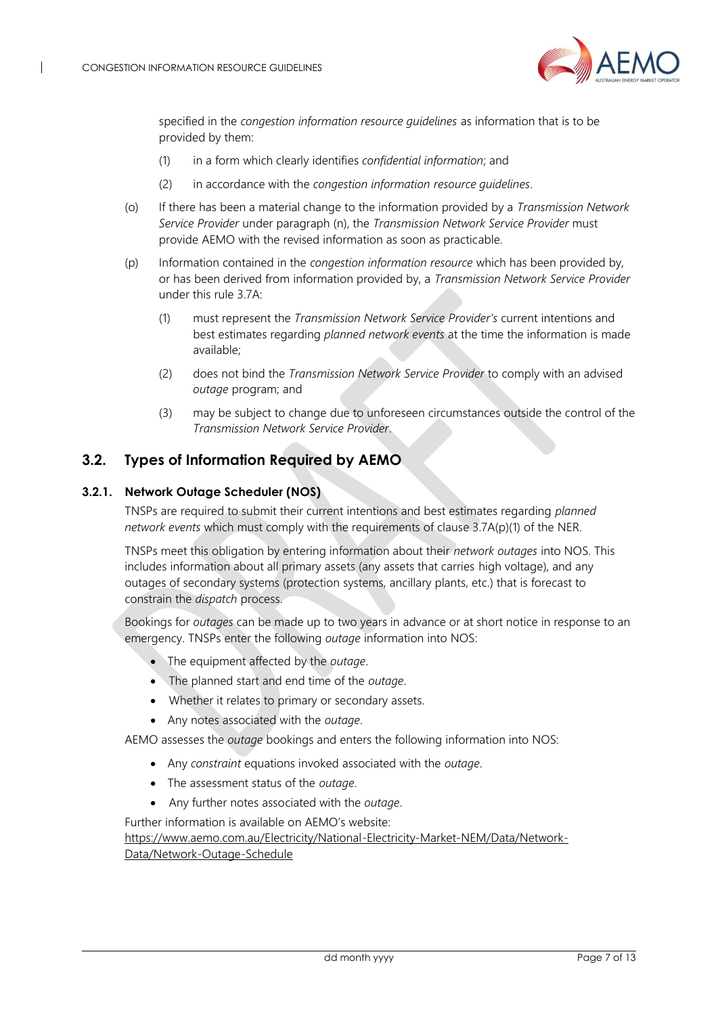

specified in the *congestion information resource guidelines* as information that is to be provided by them:

- (1) in a form which clearly identifies *confidential information*; and
- (2) in accordance with the *congestion information resource guidelines*.
- (o) If there has been a material change to the information provided by a *Transmission Network Service Provider* under paragraph (n), the *Transmission Network Service Provider* must provide AEMO with the revised information as soon as practicable.
- (p) Information contained in the *congestion information resource* which has been provided by, or has been derived from information provided by, a *Transmission Network Service Provider* under this rule 3.7A:
	- (1) must represent the *Transmission Network Service Provider's* current intentions and best estimates regarding *planned network events* at the time the information is made available;
	- (2) does not bind the *Transmission Network Service Provider* to comply with an advised *outage* program; and
	- (3) may be subject to change due to unforeseen circumstances outside the control of the *Transmission Network Service Provider*.

## <span id="page-6-0"></span>**3.2. Types of Information Required by AEMO**

#### <span id="page-6-1"></span>**3.2.1. Network Outage Scheduler (NOS)**

TNSPs are required to submit their current intentions and best estimates regarding *planned network events* which must comply with the requirements of clause 3.7A(p)(1) of the NER.

TNSPs meet this obligation by entering information about their *network outages* into NOS. This includes information about all primary assets (any assets that carries high voltage), and any outages of secondary systems (protection systems, ancillary plants, etc.) that is forecast to constrain the *dispatch* process.

Bookings for *outages* can be made up to two years in advance or at short notice in response to an emergency. TNSPs enter the following *outage* information into NOS:

- The equipment affected by the *outage*.
- The planned start and end time of the *outage*.
- Whether it relates to primary or secondary assets.
- Any notes associated with the *outage*.

AEMO assesses the *outage* bookings and enters the following information into NOS:

- Any *constraint* equations invoked associated with the *outage*.
- The assessment status of the *outage*.
- Any further notes associated with the *outage*.

Further information is available on AEMO's website:

[https://www.aemo.com.au/Electricity/National-Electricity-Market-NEM/Data/Network-](https://www.aemo.com.au/Electricity/National-Electricity-Market-NEM/Data/Network-Data/Network-Outage-Schedule)

[Data/Network-Outage-Schedule](https://www.aemo.com.au/Electricity/National-Electricity-Market-NEM/Data/Network-Data/Network-Outage-Schedule)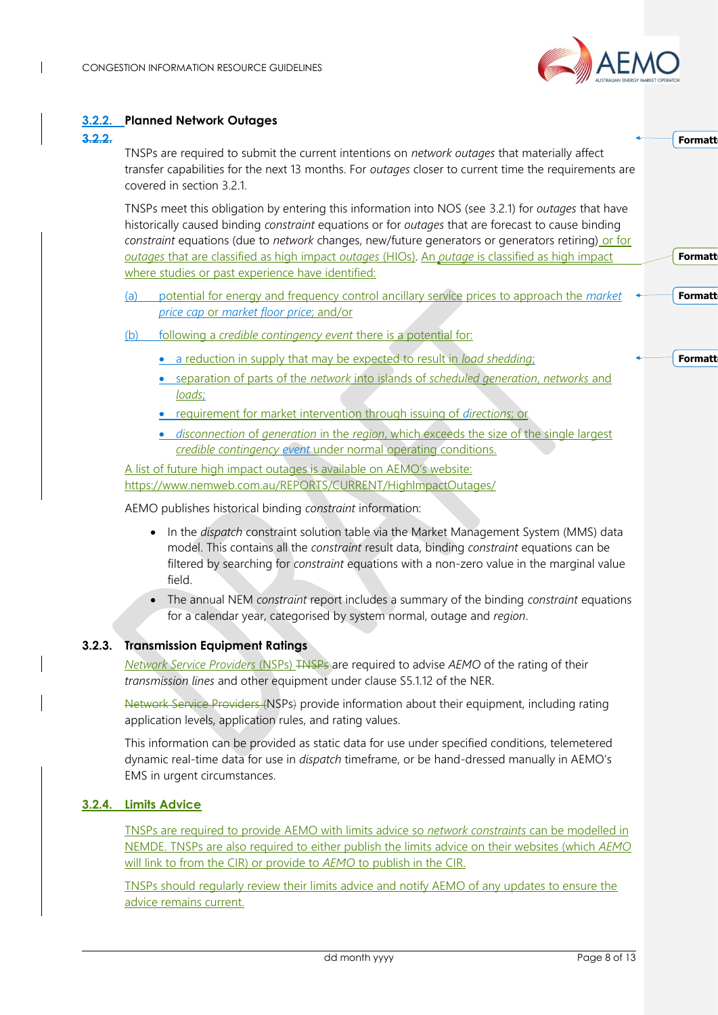

**Formatt** 

**Formatt** 

**Formatt** 

**Formatt** 

#### **3.2.2. Planned Network Outages**

#### **3.2.2.**

TNSPs are required to submit the current intentions on *network outages* that materially affect transfer capabilities for the next 13 months. For *outages* closer to current time the requirements are covered in section [3.2.1.](#page-6-1)

TNSPs meet this obligation by entering this information into NOS (see [3.2.1\)](#page-6-1) for *outages* that have historically caused binding *constraint* equations or for *outages* that are forecast to cause binding *constraint* equations (due to *network* changes, new/future generators or generators retiring) or for *outages* that are classified as high impact *outages* (HIOs). An *outage* is classified as high impact where studies or past experience have identified:

- (a) potential for energy and frequency control ancillary service prices to approach the *market price cap* or *market floor price*; and/or
- (b) following a *credible contingency event* there is a potential for:
	- a reduction in supply that may be expected to result in *load shedding*;
	- separation of parts of the *network* into islands of *scheduled generation*, *networks* and *loads*;
	- requirement for market intervention through issuing of *directions*; or
	- *disconnection* of *generation* in the *region*, which exceeds the size of the single largest *credible contingency event* under normal operating conditions.

A list of future high impact outages is available on AEMO's website: <https://www.nemweb.com.au/REPORTS/CURRENT/HighImpactOutages/>

AEMO publishes historical binding *constraint* information:

- In the *dispatch* constraint solution table via the Market Management System (MMS) data model. This contains all the *constraint* result data, binding *constraint* equations can be filtered by searching for *constraint* equations with a non-zero value in the marginal value field.
- The annual NEM *constraint* report includes a summary of the binding *constraint* equations for a calendar year, categorised by system normal, outage and *region*.

#### **3.2.3. Transmission Equipment Ratings**

*Network Service Providers* (NSPs) TNSPs are required to advise *AEMO* of the rating of their *transmission lines* and other equipment under clause S5.1.12 of the NER.

Network Service Providers (NSPs) provide information about their equipment, including rating application levels, application rules, and rating values.

This information can be provided as static data for use under specified conditions, telemetered dynamic real-time data for use in *dispatch* timeframe, or be hand-dressed manually in AEMO's EMS in urgent circumstances.

#### **3.2.4. Limits Advice**

TNSPs are required to provide AEMO with limits advice so *network constraints* can be modelled in NEMDE. TNSPs are also required to either publish the limits advice on their websites (which *AEMO* will link to from the CIR) or provide to *AEMO* to publish in the CIR.

TNSPs should regularly review their limits advice and notify AEMO of any updates to ensure the advice remains current.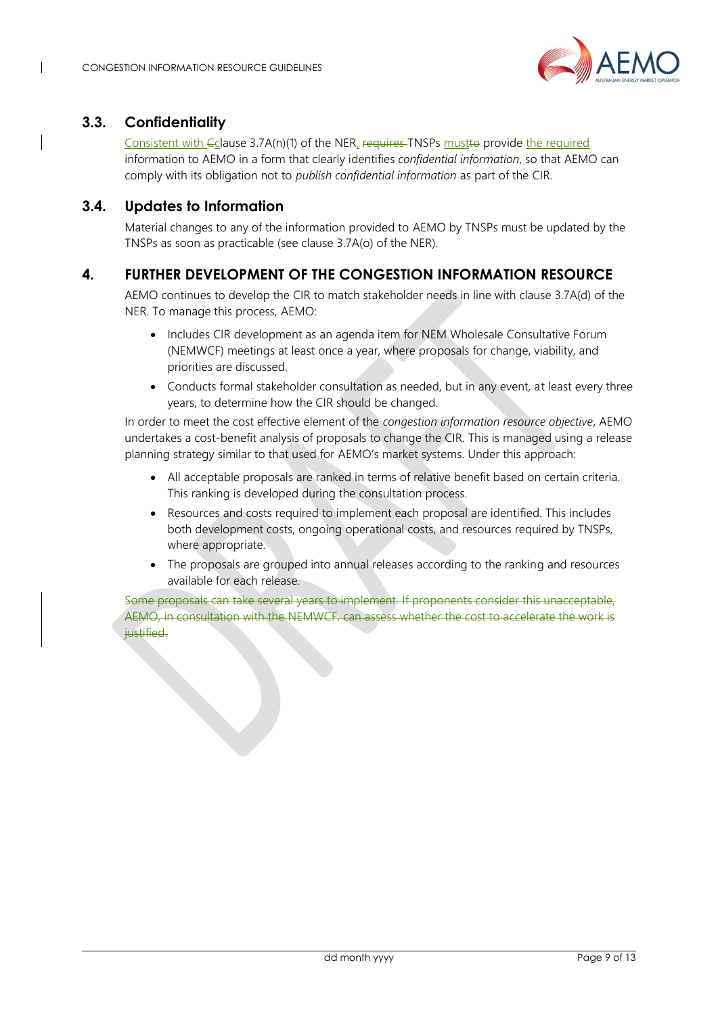

## <span id="page-8-0"></span>**3.3. Confidentiality**

Consistent with Eclause 3.7A(n)(1) of the NER, requires TNSPs must to provide the required information to AEMO in a form that clearly identifies *confidential information*, so that AEMO can comply with its obligation not to *publish confidential information* as part of the CIR.

## <span id="page-8-1"></span>**3.4. Updates to Information**

Material changes to any of the information provided to AEMO by TNSPs must be updated by the TNSPs as soon as practicable (see clause 3.7A(o) of the NER).

## <span id="page-8-2"></span>**4. FURTHER DEVELOPMENT OF THE CONGESTION INFORMATION RESOURCE**

AEMO continues to develop the CIR to match stakeholder needs in line with clause 3.7A(d) of the NER. To manage this process, AEMO:

- Includes CIR development as an agenda item for NEM Wholesale Consultative Forum (NEMWCF) meetings at least once a year, where proposals for change, viability, and priorities are discussed.
- Conducts formal stakeholder consultation as needed, but in any event, at least every three years, to determine how the CIR should be changed.

In order to meet the cost effective element of the *congestion information resource objective*, AEMO undertakes a cost-benefit analysis of proposals to change the CIR. This is managed using a release planning strategy similar to that used for AEMO's market systems. Under this approach:

- All acceptable proposals are ranked in terms of relative benefit based on certain criteria. This ranking is developed during the consultation process.
- Resources and costs required to implement each proposal are identified. This includes both development costs, ongoing operational costs, and resources required by TNSPs, where appropriate.
- The proposals are grouped into annual releases according to the ranking and resources available for each release.

Some proposals can take several years to implement. If proponents consider this unacceptable, AEMO, in consultation with the NEMWCF, can assess whether the cost to accelerate the work is justified.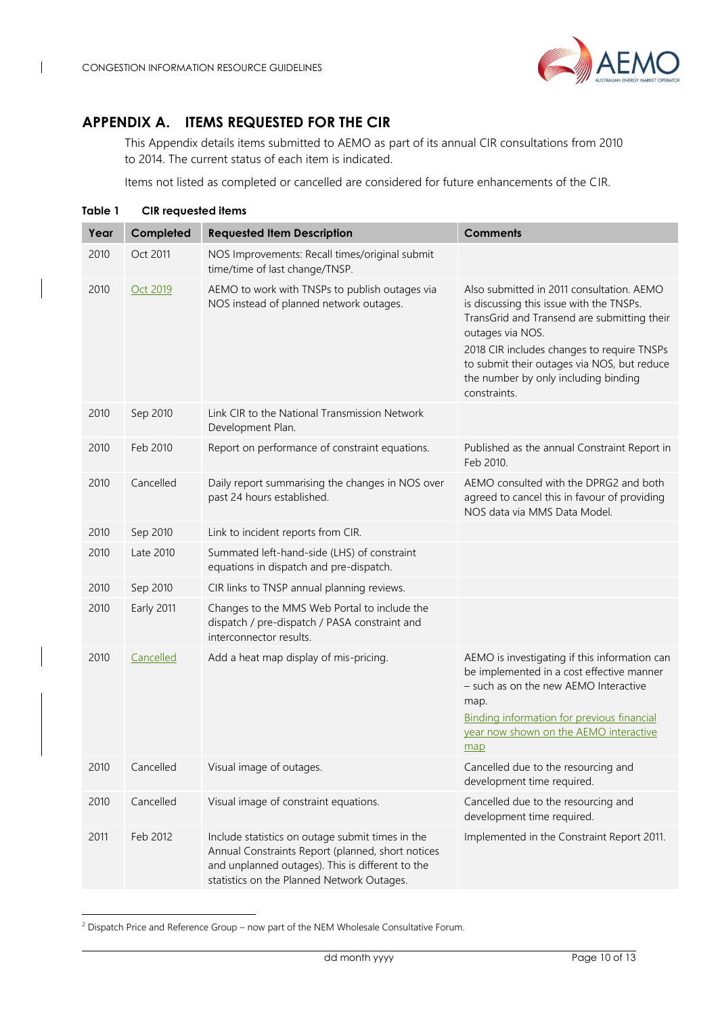

## <span id="page-9-0"></span>**APPENDIX A. ITEMS REQUESTED FOR THE CIR**

This Appendix details items submitted to AEMO as part of its annual CIR consultations from 2010 to 2014. The current status of each item is indicated.

Items not listed as completed or cancelled are considered for future enhancements of the CIR.

<span id="page-9-1"></span>

| Table 1 | <b>CIR</b> requested items |                                                                                                                                                                                                         |                                                                                                                                                                                                                                                                                                               |
|---------|----------------------------|---------------------------------------------------------------------------------------------------------------------------------------------------------------------------------------------------------|---------------------------------------------------------------------------------------------------------------------------------------------------------------------------------------------------------------------------------------------------------------------------------------------------------------|
| Year    | Completed                  | <b>Requested Item Description</b>                                                                                                                                                                       | <b>Comments</b>                                                                                                                                                                                                                                                                                               |
| 2010    | Oct 2011                   | NOS Improvements: Recall times/original submit<br>time/time of last change/TNSP.                                                                                                                        |                                                                                                                                                                                                                                                                                                               |
| 2010    | Oct 2019                   | AEMO to work with TNSPs to publish outages via<br>NOS instead of planned network outages.                                                                                                               | Also submitted in 2011 consultation. AEMO<br>is discussing this issue with the TNSPs.<br>TransGrid and Transend are submitting their<br>outages via NOS.<br>2018 CIR includes changes to require TNSPs<br>to submit their outages via NOS, but reduce<br>the number by only including binding<br>constraints. |
| 2010    | Sep 2010                   | Link CIR to the National Transmission Network<br>Development Plan.                                                                                                                                      |                                                                                                                                                                                                                                                                                                               |
| 2010    | Feb 2010                   | Report on performance of constraint equations.                                                                                                                                                          | Published as the annual Constraint Report in<br>Feb 2010.                                                                                                                                                                                                                                                     |
| 2010    | Cancelled                  | Daily report summarising the changes in NOS over<br>past 24 hours established.                                                                                                                          | AEMO consulted with the DPRG2 and both<br>agreed to cancel this in favour of providing<br>NOS data via MMS Data Model.                                                                                                                                                                                        |
| 2010    | Sep 2010                   | Link to incident reports from CIR.                                                                                                                                                                      |                                                                                                                                                                                                                                                                                                               |
| 2010    | Late 2010                  | Summated left-hand-side (LHS) of constraint<br>equations in dispatch and pre-dispatch.                                                                                                                  |                                                                                                                                                                                                                                                                                                               |
| 2010    | Sep 2010                   | CIR links to TNSP annual planning reviews.                                                                                                                                                              |                                                                                                                                                                                                                                                                                                               |
| 2010    | Early 2011                 | Changes to the MMS Web Portal to include the<br>dispatch / pre-dispatch / PASA constraint and<br>interconnector results.                                                                                |                                                                                                                                                                                                                                                                                                               |
| 2010    | Cancelled                  | Add a heat map display of mis-pricing.                                                                                                                                                                  | AEMO is investigating if this information can<br>be implemented in a cost effective manner<br>- such as on the new AEMO Interactive<br>map.<br>Binding information for previous financial<br>year now shown on the AEMO interactive<br>map                                                                    |
| 2010    | Cancelled                  | Visual image of outages.                                                                                                                                                                                | Cancelled due to the resourcing and<br>development time required.                                                                                                                                                                                                                                             |
| 2010    | Cancelled                  | Visual image of constraint equations.                                                                                                                                                                   | Cancelled due to the resourcing and<br>development time required.                                                                                                                                                                                                                                             |
| 2011    | Feb 2012                   | Include statistics on outage submit times in the<br>Annual Constraints Report (planned, short notices<br>and unplanned outages). This is different to the<br>statistics on the Planned Network Outages. | Implemented in the Constraint Report 2011.                                                                                                                                                                                                                                                                    |

<sup>&</sup>lt;sup>2</sup> Dispatch Price and Reference Group – now part of the NEM Wholesale Consultative Forum.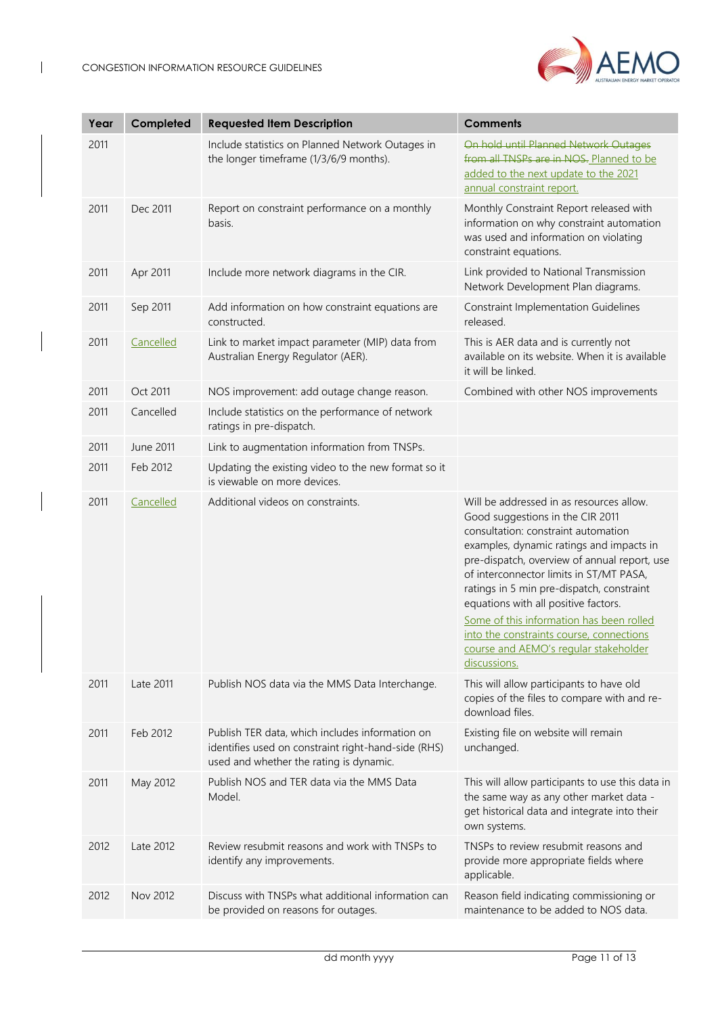

| Year | Completed | <b>Requested Item Description</b>                                                                                                                 | <b>Comments</b>                                                                                                                                                                                                                                                                                                                                                                                                                                                                                  |
|------|-----------|---------------------------------------------------------------------------------------------------------------------------------------------------|--------------------------------------------------------------------------------------------------------------------------------------------------------------------------------------------------------------------------------------------------------------------------------------------------------------------------------------------------------------------------------------------------------------------------------------------------------------------------------------------------|
| 2011 |           | Include statistics on Planned Network Outages in<br>the longer timeframe (1/3/6/9 months).                                                        | On hold until Planned Network Outages<br>from all TNSPs are in NOS. Planned to be<br>added to the next update to the 2021<br>annual constraint report.                                                                                                                                                                                                                                                                                                                                           |
| 2011 | Dec 2011  | Report on constraint performance on a monthly<br>basis.                                                                                           | Monthly Constraint Report released with<br>information on why constraint automation<br>was used and information on violating<br>constraint equations.                                                                                                                                                                                                                                                                                                                                            |
| 2011 | Apr 2011  | Include more network diagrams in the CIR.                                                                                                         | Link provided to National Transmission<br>Network Development Plan diagrams.                                                                                                                                                                                                                                                                                                                                                                                                                     |
| 2011 | Sep 2011  | Add information on how constraint equations are<br>constructed.                                                                                   | <b>Constraint Implementation Guidelines</b><br>released.                                                                                                                                                                                                                                                                                                                                                                                                                                         |
| 2011 | Cancelled | Link to market impact parameter (MIP) data from<br>Australian Energy Regulator (AER).                                                             | This is AER data and is currently not<br>available on its website. When it is available<br>it will be linked.                                                                                                                                                                                                                                                                                                                                                                                    |
| 2011 | Oct 2011  | NOS improvement: add outage change reason.                                                                                                        | Combined with other NOS improvements                                                                                                                                                                                                                                                                                                                                                                                                                                                             |
| 2011 | Cancelled | Include statistics on the performance of network<br>ratings in pre-dispatch.                                                                      |                                                                                                                                                                                                                                                                                                                                                                                                                                                                                                  |
| 2011 | June 2011 | Link to augmentation information from TNSPs.                                                                                                      |                                                                                                                                                                                                                                                                                                                                                                                                                                                                                                  |
| 2011 | Feb 2012  | Updating the existing video to the new format so it<br>is viewable on more devices.                                                               |                                                                                                                                                                                                                                                                                                                                                                                                                                                                                                  |
| 2011 | Cancelled | Additional videos on constraints.                                                                                                                 | Will be addressed in as resources allow.<br>Good suggestions in the CIR 2011<br>consultation: constraint automation<br>examples, dynamic ratings and impacts in<br>pre-dispatch, overview of annual report, use<br>of interconnector limits in ST/MT PASA,<br>ratings in 5 min pre-dispatch, constraint<br>equations with all positive factors.<br>Some of this information has been rolled<br>into the constraints course, connections<br>course and AEMO's regular stakeholder<br>discussions. |
| 2011 | Late 2011 | Publish NOS data via the MMS Data Interchange.                                                                                                    | This will allow participants to have old<br>copies of the files to compare with and re-<br>download files.                                                                                                                                                                                                                                                                                                                                                                                       |
| 2011 | Feb 2012  | Publish TER data, which includes information on<br>identifies used on constraint right-hand-side (RHS)<br>used and whether the rating is dynamic. | Existing file on website will remain<br>unchanged.                                                                                                                                                                                                                                                                                                                                                                                                                                               |
| 2011 | May 2012  | Publish NOS and TER data via the MMS Data<br>Model.                                                                                               | This will allow participants to use this data in<br>the same way as any other market data -<br>get historical data and integrate into their<br>own systems.                                                                                                                                                                                                                                                                                                                                      |
| 2012 | Late 2012 | Review resubmit reasons and work with TNSPs to<br>identify any improvements.                                                                      | TNSPs to review resubmit reasons and<br>provide more appropriate fields where<br>applicable.                                                                                                                                                                                                                                                                                                                                                                                                     |
| 2012 | Nov 2012  | Discuss with TNSPs what additional information can<br>be provided on reasons for outages.                                                         | Reason field indicating commissioning or<br>maintenance to be added to NOS data.                                                                                                                                                                                                                                                                                                                                                                                                                 |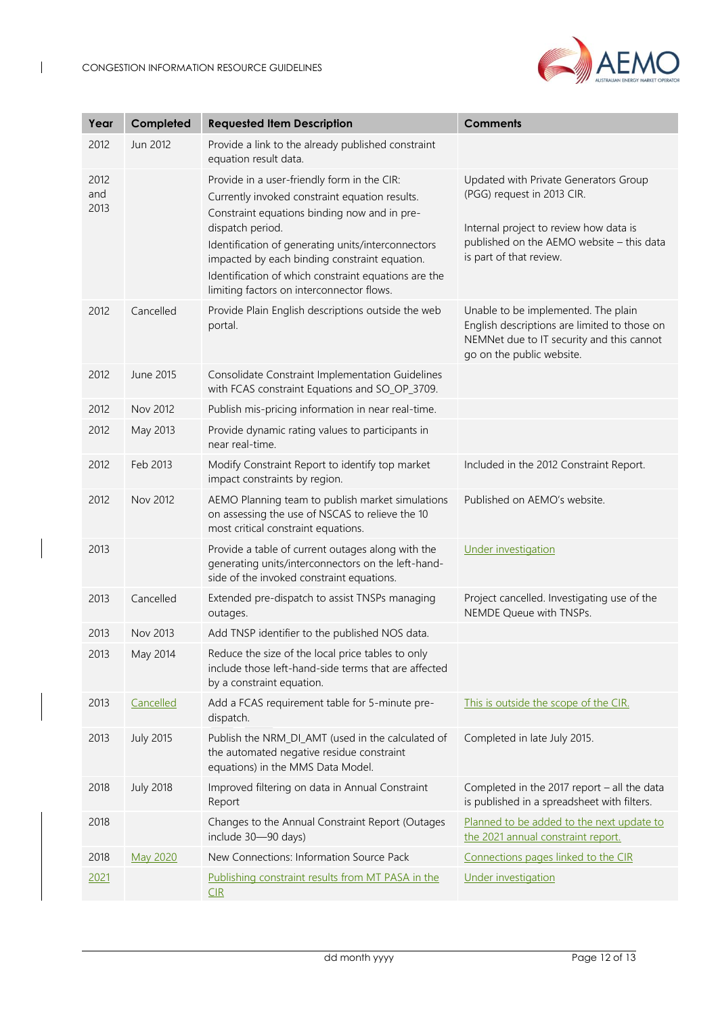

| Year                | Completed        | <b>Requested Item Description</b>                                                                                                                                                                                                                                                                                                                                             | <b>Comments</b>                                                                                                                                                                       |
|---------------------|------------------|-------------------------------------------------------------------------------------------------------------------------------------------------------------------------------------------------------------------------------------------------------------------------------------------------------------------------------------------------------------------------------|---------------------------------------------------------------------------------------------------------------------------------------------------------------------------------------|
| 2012                | Jun 2012         | Provide a link to the already published constraint<br>equation result data.                                                                                                                                                                                                                                                                                                   |                                                                                                                                                                                       |
| 2012<br>and<br>2013 |                  | Provide in a user-friendly form in the CIR:<br>Currently invoked constraint equation results.<br>Constraint equations binding now and in pre-<br>dispatch period.<br>Identification of generating units/interconnectors<br>impacted by each binding constraint equation.<br>Identification of which constraint equations are the<br>limiting factors on interconnector flows. | Updated with Private Generators Group<br>(PGG) request in 2013 CIR.<br>Internal project to review how data is<br>published on the AEMO website - this data<br>is part of that review. |
| 2012                | Cancelled        | Provide Plain English descriptions outside the web<br>portal.                                                                                                                                                                                                                                                                                                                 | Unable to be implemented. The plain<br>English descriptions are limited to those on<br>NEMNet due to IT security and this cannot<br>go on the public website.                         |
| 2012                | June 2015        | Consolidate Constraint Implementation Guidelines<br>with FCAS constraint Equations and SO_OP_3709.                                                                                                                                                                                                                                                                            |                                                                                                                                                                                       |
| 2012                | Nov 2012         | Publish mis-pricing information in near real-time.                                                                                                                                                                                                                                                                                                                            |                                                                                                                                                                                       |
| 2012                | May 2013         | Provide dynamic rating values to participants in<br>near real-time.                                                                                                                                                                                                                                                                                                           |                                                                                                                                                                                       |
| 2012                | Feb 2013         | Modify Constraint Report to identify top market<br>impact constraints by region.                                                                                                                                                                                                                                                                                              | Included in the 2012 Constraint Report.                                                                                                                                               |
| 2012                | Nov 2012         | AEMO Planning team to publish market simulations<br>on assessing the use of NSCAS to relieve the 10<br>most critical constraint equations.                                                                                                                                                                                                                                    | Published on AEMO's website.                                                                                                                                                          |
| 2013                |                  | Provide a table of current outages along with the<br>generating units/interconnectors on the left-hand-<br>side of the invoked constraint equations.                                                                                                                                                                                                                          | Under investigation                                                                                                                                                                   |
| 2013                | Cancelled        | Extended pre-dispatch to assist TNSPs managing<br>outages.                                                                                                                                                                                                                                                                                                                    | Project cancelled. Investigating use of the<br>NEMDE Queue with TNSPs.                                                                                                                |
| 2013                | Nov 2013         | Add TNSP identifier to the published NOS data.                                                                                                                                                                                                                                                                                                                                |                                                                                                                                                                                       |
| 2013                | May 2014         | Reduce the size of the local price tables to only<br>include those left-hand-side terms that are affected<br>by a constraint equation.                                                                                                                                                                                                                                        |                                                                                                                                                                                       |
| 2013                | Cancelled        | Add a FCAS requirement table for 5-minute pre-<br>dispatch.                                                                                                                                                                                                                                                                                                                   | This is outside the scope of the CIR.                                                                                                                                                 |
| 2013                | <b>July 2015</b> | Publish the NRM_DI_AMT (used in the calculated of<br>the automated negative residue constraint<br>equations) in the MMS Data Model.                                                                                                                                                                                                                                           | Completed in late July 2015.                                                                                                                                                          |
| 2018                | <b>July 2018</b> | Improved filtering on data in Annual Constraint<br>Report                                                                                                                                                                                                                                                                                                                     | Completed in the 2017 report - all the data<br>is published in a spreadsheet with filters.                                                                                            |
| 2018                |                  | Changes to the Annual Constraint Report (Outages<br>include 30-90 days)                                                                                                                                                                                                                                                                                                       | Planned to be added to the next update to<br>the 2021 annual constraint report.                                                                                                       |
| 2018                | May 2020         | New Connections: Information Source Pack                                                                                                                                                                                                                                                                                                                                      | Connections pages linked to the CIR                                                                                                                                                   |
| 2021                |                  | Publishing constraint results from MT PASA in the<br>CIR                                                                                                                                                                                                                                                                                                                      | Under investigation                                                                                                                                                                   |